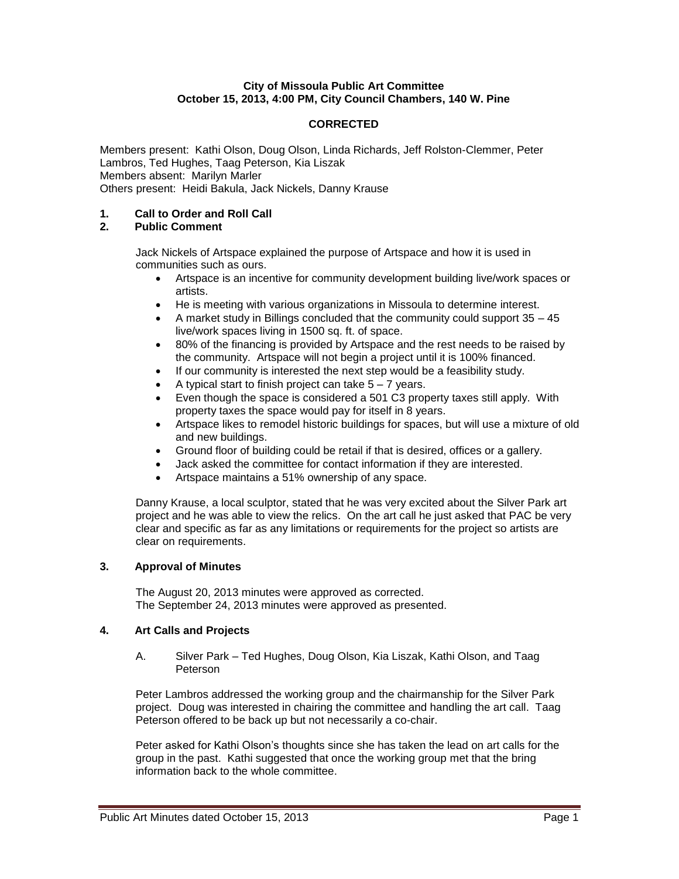## **City of Missoula Public Art Committee October 15, 2013, 4:00 PM, City Council Chambers, 140 W. Pine**

# **CORRECTED**

Members present: Kathi Olson, Doug Olson, Linda Richards, Jeff Rolston-Clemmer, Peter Lambros, Ted Hughes, Taag Peterson, Kia Liszak Members absent: Marilyn Marler Others present: Heidi Bakula, Jack Nickels, Danny Krause

## **1. Call to Order and Roll Call**

## **2. Public Comment**

Jack Nickels of Artspace explained the purpose of Artspace and how it is used in communities such as ours.

- Artspace is an incentive for community development building live/work spaces or artists.
- He is meeting with various organizations in Missoula to determine interest.
- A market study in Billings concluded that the community could support  $35 45$ live/work spaces living in 1500 sq. ft. of space.
- 80% of the financing is provided by Artspace and the rest needs to be raised by the community. Artspace will not begin a project until it is 100% financed.
- If our community is interested the next step would be a feasibility study.
- A typical start to finish project can take  $5 7$  years.
- Even though the space is considered a 501 C3 property taxes still apply. With property taxes the space would pay for itself in 8 years.
- Artspace likes to remodel historic buildings for spaces, but will use a mixture of old and new buildings.
- Ground floor of building could be retail if that is desired, offices or a gallery.
- Jack asked the committee for contact information if they are interested.
- Artspace maintains a 51% ownership of any space.

Danny Krause, a local sculptor, stated that he was very excited about the Silver Park art project and he was able to view the relics. On the art call he just asked that PAC be very clear and specific as far as any limitations or requirements for the project so artists are clear on requirements.

### **3. Approval of Minutes**

The August 20, 2013 minutes were approved as corrected. The September 24, 2013 minutes were approved as presented.

### **4. Art Calls and Projects**

A. Silver Park – Ted Hughes, Doug Olson, Kia Liszak, Kathi Olson, and Taag Peterson

Peter Lambros addressed the working group and the chairmanship for the Silver Park project. Doug was interested in chairing the committee and handling the art call. Taag Peterson offered to be back up but not necessarily a co-chair.

Peter asked for Kathi Olson's thoughts since she has taken the lead on art calls for the group in the past. Kathi suggested that once the working group met that the bring information back to the whole committee.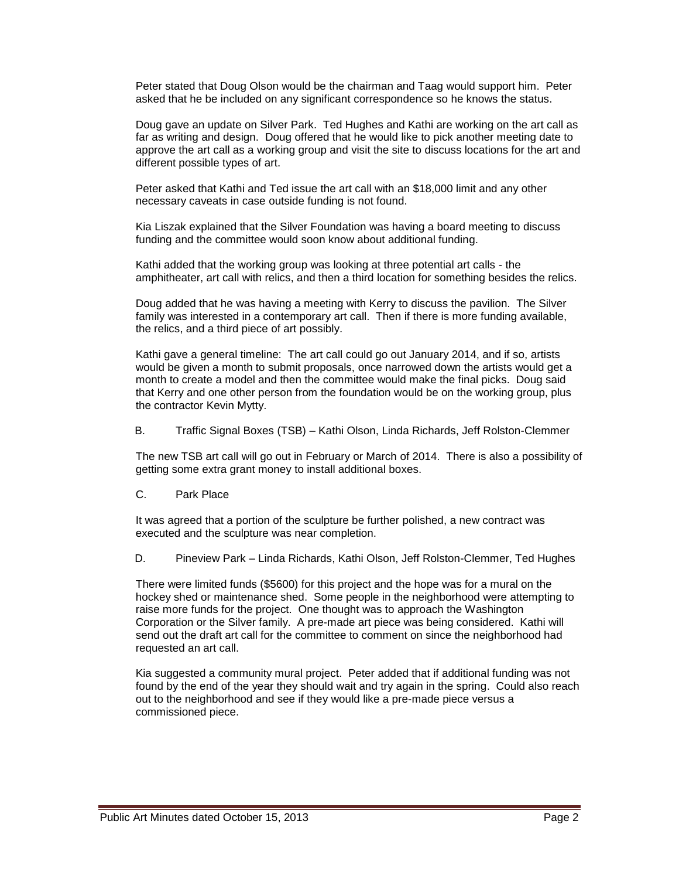Peter stated that Doug Olson would be the chairman and Taag would support him. Peter asked that he be included on any significant correspondence so he knows the status.

Doug gave an update on Silver Park. Ted Hughes and Kathi are working on the art call as far as writing and design. Doug offered that he would like to pick another meeting date to approve the art call as a working group and visit the site to discuss locations for the art and different possible types of art.

Peter asked that Kathi and Ted issue the art call with an \$18,000 limit and any other necessary caveats in case outside funding is not found.

Kia Liszak explained that the Silver Foundation was having a board meeting to discuss funding and the committee would soon know about additional funding.

Kathi added that the working group was looking at three potential art calls - the amphitheater, art call with relics, and then a third location for something besides the relics.

Doug added that he was having a meeting with Kerry to discuss the pavilion. The Silver family was interested in a contemporary art call. Then if there is more funding available, the relics, and a third piece of art possibly.

Kathi gave a general timeline: The art call could go out January 2014, and if so, artists would be given a month to submit proposals, once narrowed down the artists would get a month to create a model and then the committee would make the final picks. Doug said that Kerry and one other person from the foundation would be on the working group, plus the contractor Kevin Mytty.

B. Traffic Signal Boxes (TSB) – Kathi Olson, Linda Richards, Jeff Rolston-Clemmer

The new TSB art call will go out in February or March of 2014. There is also a possibility of getting some extra grant money to install additional boxes.

C. Park Place

It was agreed that a portion of the sculpture be further polished, a new contract was executed and the sculpture was near completion.

D. Pineview Park – Linda Richards, Kathi Olson, Jeff Rolston-Clemmer, Ted Hughes

There were limited funds (\$5600) for this project and the hope was for a mural on the hockey shed or maintenance shed. Some people in the neighborhood were attempting to raise more funds for the project. One thought was to approach the Washington Corporation or the Silver family. A pre-made art piece was being considered. Kathi will send out the draft art call for the committee to comment on since the neighborhood had requested an art call.

Kia suggested a community mural project. Peter added that if additional funding was not found by the end of the year they should wait and try again in the spring. Could also reach out to the neighborhood and see if they would like a pre-made piece versus a commissioned piece.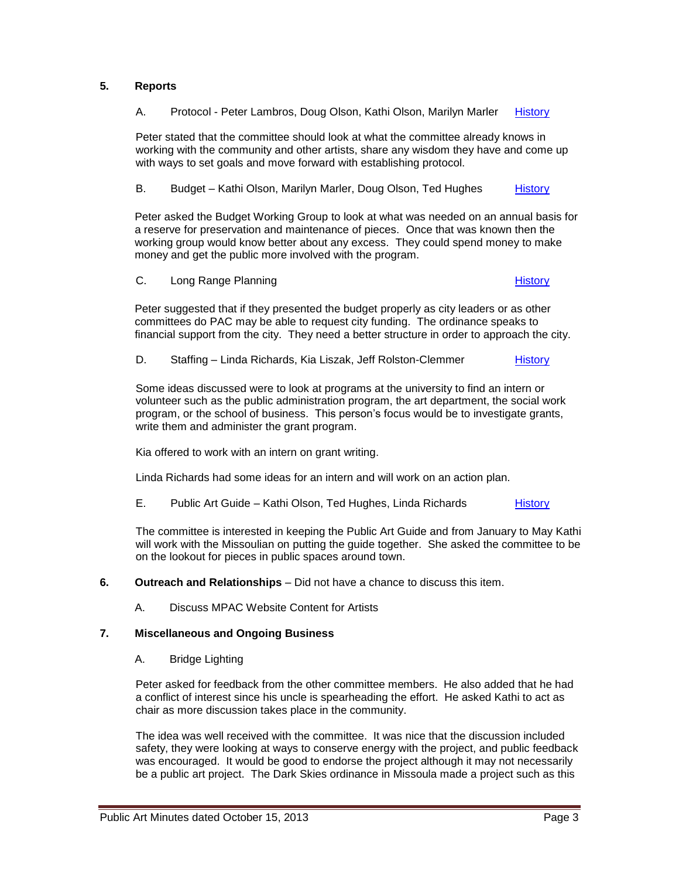# **5. Reports**

A. Protocol - Peter Lambros, Doug Olson, Kathi Olson, Marilyn Marler [History](http://missoula.siretechnologies.com/sirepub/item.aspx?itemid=13926)

Peter stated that the committee should look at what the committee already knows in working with the community and other artists, share any wisdom they have and come up with ways to set goals and move forward with establishing protocol.

B. Budget – Kathi Olson, Marilyn Marler, Doug Olson, Ted Hughes [History](http://missoula.siretechnologies.com/sirepub/item.aspx?itemid=13927)

Peter asked the Budget Working Group to look at what was needed on an annual basis for a reserve for preservation and maintenance of pieces. Once that was known then the working group would know better about any excess. They could spend money to make money and get the public more involved with the program.

C. Long Range Planning **[History](http://missoula.siretechnologies.com/sirepub/item.aspx?itemid=13928)** History

Peter suggested that if they presented the budget properly as city leaders or as other committees do PAC may be able to request city funding. The ordinance speaks to financial support from the city. They need a better structure in order to approach the city.

D. Staffing – Linda Richards, Kia Liszak, Jeff Rolston-Clemmer [History](http://missoula.siretechnologies.com/sirepub/item.aspx?itemid=13929)

Some ideas discussed were to look at programs at the university to find an intern or volunteer such as the public administration program, the art department, the social work program, or the school of business. This person's focus would be to investigate grants, write them and administer the grant program.

Kia offered to work with an intern on grant writing.

Linda Richards had some ideas for an intern and will work on an action plan.

E. Public Art Guide – Kathi Olson, Ted Hughes, Linda Richards [History](http://missoula.siretechnologies.com/sirepub/item.aspx?itemid=13930)

The committee is interested in keeping the Public Art Guide and from January to May Kathi will work with the Missoulian on putting the guide together. She asked the committee to be on the lookout for pieces in public spaces around town.

**6. Outreach and Relationships** – Did not have a chance to discuss this item.

A. Discuss MPAC Website Content for Artists

### **7. Miscellaneous and Ongoing Business**

A. Bridge Lighting

Peter asked for feedback from the other committee members. He also added that he had a conflict of interest since his uncle is spearheading the effort. He asked Kathi to act as chair as more discussion takes place in the community.

The idea was well received with the committee. It was nice that the discussion included safety, they were looking at ways to conserve energy with the project, and public feedback was encouraged. It would be good to endorse the project although it may not necessarily be a public art project. The Dark Skies ordinance in Missoula made a project such as this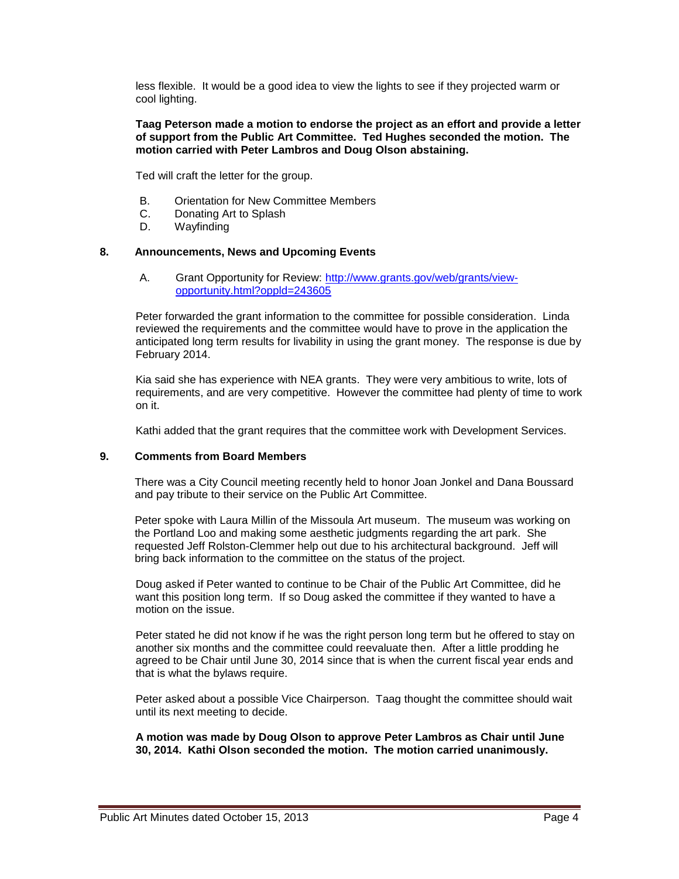less flexible. It would be a good idea to view the lights to see if they projected warm or cool lighting.

### **Taag Peterson made a motion to endorse the project as an effort and provide a letter of support from the Public Art Committee. Ted Hughes seconded the motion. The motion carried with Peter Lambros and Doug Olson abstaining.**

Ted will craft the letter for the group.

- B. Orientation for New Committee Members
- C. Donating Art to Splash
- D. Wayfinding

## **8. Announcements, News and Upcoming Events**

A. Grant Opportunity for Review: [http://www.grants.gov/web/grants/view](http://www.grants.gov/web/grants/view-opportunity.html?oppld=243605)[opportunity.html?oppld=243605](http://www.grants.gov/web/grants/view-opportunity.html?oppld=243605)

Peter forwarded the grant information to the committee for possible consideration. Linda reviewed the requirements and the committee would have to prove in the application the anticipated long term results for livability in using the grant money. The response is due by February 2014.

Kia said she has experience with NEA grants. They were very ambitious to write, lots of requirements, and are very competitive. However the committee had plenty of time to work on it.

Kathi added that the grant requires that the committee work with Development Services.

### **9. Comments from Board Members**

There was a City Council meeting recently held to honor Joan Jonkel and Dana Boussard and pay tribute to their service on the Public Art Committee.

Peter spoke with Laura Millin of the Missoula Art museum. The museum was working on the Portland Loo and making some aesthetic judgments regarding the art park. She requested Jeff Rolston-Clemmer help out due to his architectural background. Jeff will bring back information to the committee on the status of the project.

Doug asked if Peter wanted to continue to be Chair of the Public Art Committee, did he want this position long term. If so Doug asked the committee if they wanted to have a motion on the issue.

Peter stated he did not know if he was the right person long term but he offered to stay on another six months and the committee could reevaluate then. After a little prodding he agreed to be Chair until June 30, 2014 since that is when the current fiscal year ends and that is what the bylaws require.

Peter asked about a possible Vice Chairperson. Taag thought the committee should wait until its next meeting to decide.

**A motion was made by Doug Olson to approve Peter Lambros as Chair until June 30, 2014. Kathi Olson seconded the motion. The motion carried unanimously.**